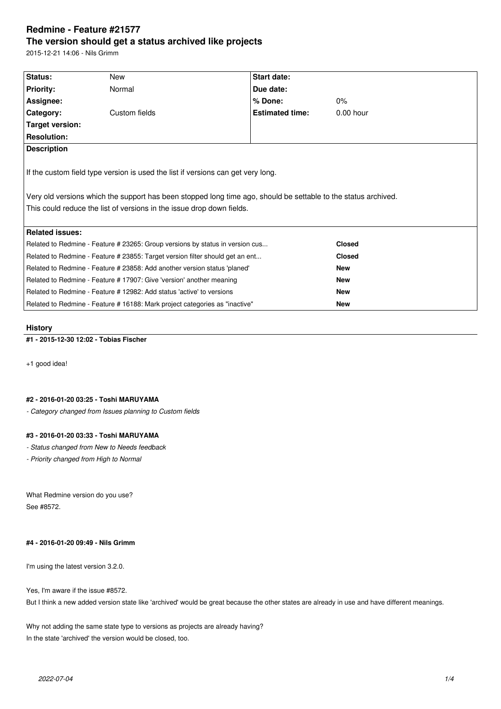# **Redmine - Feature #21577 The version should get a status archived like projects**

2015-12-21 14:06 - Nils Grimm

| Status:                                                                                                                                                                                                                                                                     | New           | <b>Start date:</b>     |               |  |  |  |  |
|-----------------------------------------------------------------------------------------------------------------------------------------------------------------------------------------------------------------------------------------------------------------------------|---------------|------------------------|---------------|--|--|--|--|
| Priority:                                                                                                                                                                                                                                                                   | Normal        | Due date:              |               |  |  |  |  |
| Assignee:                                                                                                                                                                                                                                                                   |               | % Done:                | 0%            |  |  |  |  |
| Category:                                                                                                                                                                                                                                                                   | Custom fields | <b>Estimated time:</b> | $0.00$ hour   |  |  |  |  |
| Target version:                                                                                                                                                                                                                                                             |               |                        |               |  |  |  |  |
| <b>Resolution:</b>                                                                                                                                                                                                                                                          |               |                        |               |  |  |  |  |
| <b>Description</b>                                                                                                                                                                                                                                                          |               |                        |               |  |  |  |  |
| If the custom field type version is used the list if versions can get very long.<br>Very old versions which the support has been stopped long time ago, should be settable to the status archived.<br>This could reduce the list of versions in the issue drop down fields. |               |                        |               |  |  |  |  |
| <b>Related issues:</b>                                                                                                                                                                                                                                                      |               |                        |               |  |  |  |  |
| Related to Redmine - Feature # 23265: Group versions by status in version cus                                                                                                                                                                                               |               |                        | <b>Closed</b> |  |  |  |  |
| Related to Redmine - Feature # 23855: Target version filter should get an ent                                                                                                                                                                                               |               |                        | <b>Closed</b> |  |  |  |  |
| Related to Redmine - Feature # 23858: Add another version status 'planed'                                                                                                                                                                                                   |               |                        | <b>New</b>    |  |  |  |  |
| Related to Redmine - Feature #17907: Give 'version' another meaning                                                                                                                                                                                                         |               |                        | <b>New</b>    |  |  |  |  |
| Related to Redmine - Feature # 12982: Add status 'active' to versions                                                                                                                                                                                                       |               |                        | <b>New</b>    |  |  |  |  |
| Related to Redmine - Feature # 16188: Mark project categories as "inactive"                                                                                                                                                                                                 |               |                        | <b>New</b>    |  |  |  |  |
|                                                                                                                                                                                                                                                                             |               |                        |               |  |  |  |  |

# **History**

# **#1 - 2015-12-30 12:02 - Tobias Fischer**

+1 good idea!

### **#2 - 2016-01-20 03:25 - Toshi MARUYAMA**

*- Category changed from Issues planning to Custom fields*

# **#3 - 2016-01-20 03:33 - Toshi MARUYAMA**

*- Status changed from New to Needs feedback*

*- Priority changed from High to Normal*

What Redmine version do you use? See #8572.

# **#4 - 2016-01-20 09:49 - Nils Grimm**

I'm using the latest version 3.2.0.

Yes, I'm aware if the issue #8572.

But I think a new added version state like 'archived' would be great because the other states are already in use and have different meanings.

Why not adding the same state type to versions as projects are already having? In the state 'archived' the version would be closed, too.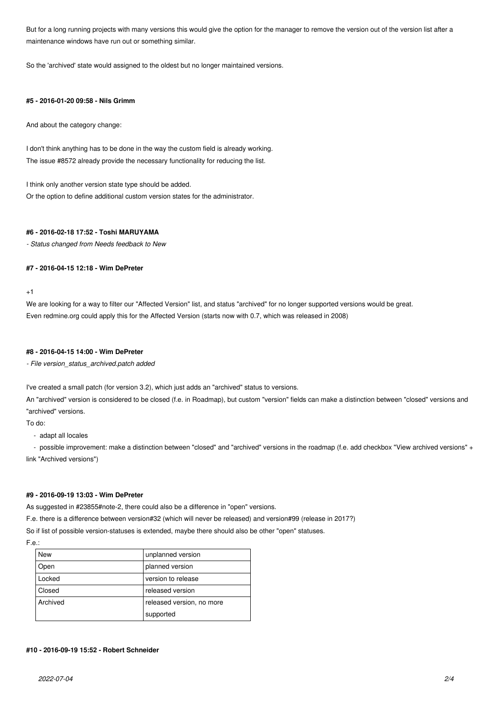But for a long running projects with many versions this would give the option for the manager to remove the version out of the version list after a maintenance windows have run out or something similar.

So the 'archived' state would assigned to the oldest but no longer maintained versions.

#### **#5 - 2016-01-20 09:58 - Nils Grimm**

And about the category change:

I don't think anything has to be done in the way the custom field is already working. The issue #8572 already provide the necessary functionality for reducing the list.

I think only another version state type should be added. Or the option to define additional custom version states for the administrator.

### **#6 - 2016-02-18 17:52 - Toshi MARUYAMA**

*- Status changed from Needs feedback to New*

### **#7 - 2016-04-15 12:18 - Wim DePreter**

 $+1$ 

We are looking for a way to filter our "Affected Version" list, and status "archived" for no longer supported versions would be great. Even redmine.org could apply this for the Affected Version (starts now with 0.7, which was released in 2008)

#### **#8 - 2016-04-15 14:00 - Wim DePreter**

*- File version\_status\_archived.patch added*

I've created a small patch (for version 3.2), which just adds an "archived" status to versions.

An "archived" version is considered to be closed (f.e. in Roadmap), but custom "version" fields can make a distinction between "closed" versions and "archived" versions.

To do:

- adapt all locales

- possible improvement: make a distinction between "closed" and "archived" versions in the roadmap (f.e. add checkbox "View archived versions" + link "Archived versions")

# **#9 - 2016-09-19 13:03 - Wim DePreter**

As suggested in #23855#note-2, there could also be a difference in "open" versions.

F.e. there is a difference between version#32 (which will never be released) and version#99 (release in 2017?)

So if list of possible version-statuses is extended, maybe there should also be other "open" statuses.

F.e.:

| <b>New</b> | unplanned version         |  |
|------------|---------------------------|--|
| Open       | planned version           |  |
| Locked     | version to release        |  |
| Closed     | released version          |  |
| Archived   | released version, no more |  |
|            | supported                 |  |

# **#10 - 2016-09-19 15:52 - Robert Schneider**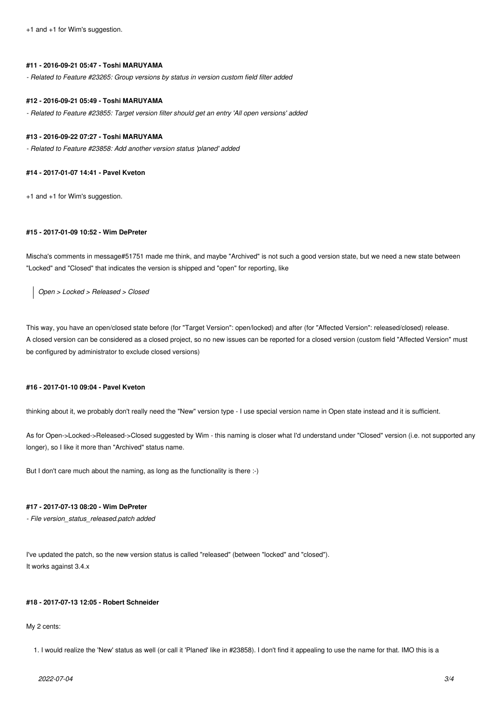+1 and +1 for Wim's suggestion.

#### **#11 - 2016-09-21 05:47 - Toshi MARUYAMA**

*- Related to Feature #23265: Group versions by status in version custom field filter added*

#### **#12 - 2016-09-21 05:49 - Toshi MARUYAMA**

*- Related to Feature #23855: Target version filter should get an entry 'All open versions' added*

#### **#13 - 2016-09-22 07:27 - Toshi MARUYAMA**

*- Related to Feature #23858: Add another version status 'planed' added*

### **#14 - 2017-01-07 14:41 - Pavel Kveton**

+1 and +1 for Wim's suggestion.

### **#15 - 2017-01-09 10:52 - Wim DePreter**

Mischa's comments in message#51751 made me think, and maybe "Archived" is not such a good version state, but we need a new state between "Locked" and "Closed" that indicates the version is shipped and "open" for reporting, like

*Open > Locked > Released > Closed*

This way, you have an open/closed state before (for "Target Version": open/locked) and after (for "Affected Version": released/closed) release. A closed version can be considered as a closed project, so no new issues can be reported for a closed version (custom field "Affected Version" must be configured by administrator to exclude closed versions)

# **#16 - 2017-01-10 09:04 - Pavel Kveton**

thinking about it, we probably don't really need the "New" version type - I use special version name in Open state instead and it is sufficient.

As for Open->Locked->Released->Closed suggested by Wim - this naming is closer what I'd understand under "Closed" version (i.e. not supported any longer), so I like it more than "Archived" status name.

But I don't care much about the naming, as long as the functionality is there :-)

# **#17 - 2017-07-13 08:20 - Wim DePreter**

*- File version\_status\_released.patch added*

I've updated the patch, so the new version status is called "released" (between "locked" and "closed"). It works against 3.4.x

## **#18 - 2017-07-13 12:05 - Robert Schneider**

My 2 cents:

1. I would realize the 'New' status as well (or call it 'Planed' like in #23858). I don't find it appealing to use the name for that. IMO this is a